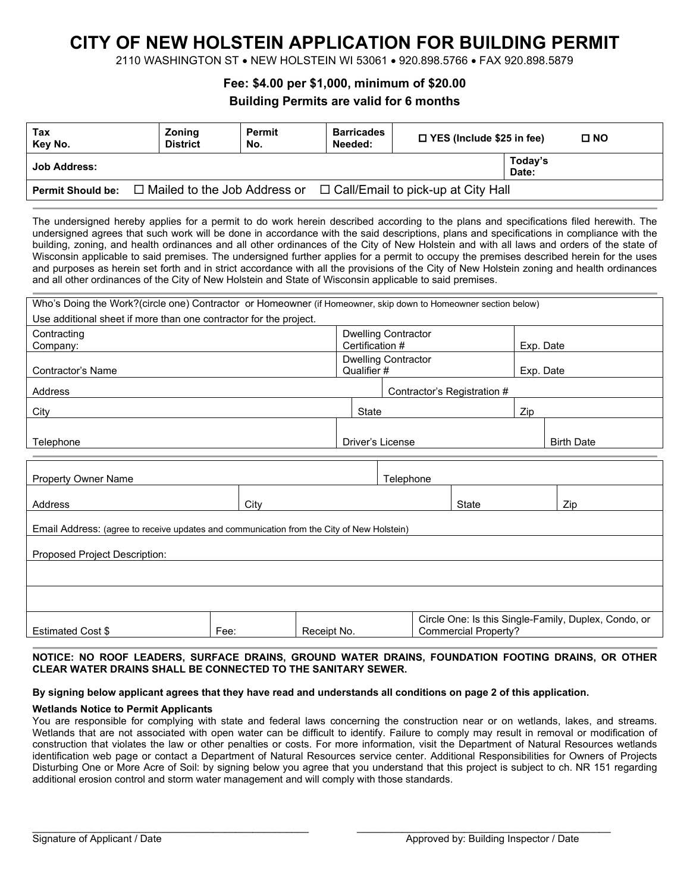# **CITY OF NEW HOLSTEIN APPLICATION FOR BUILDING PERMIT**

2110 WASHINGTON ST • NEW HOLSTEIN WI 53061 • 920.898.5766 • FAX 920.898.5879

## **Fee: \$4.00 per \$1,000, minimum of \$20.00**

## **Building Permits are valid for 6 months**

| Tax<br>Key No.           | <b>Zoning</b><br><b>District</b> | <b>Permit</b><br>No. | <b>Barricades</b><br>Needed: | $\Box$ YES (Include \$25 in fee)          |                  | $\square$ NO |
|--------------------------|----------------------------------|----------------------|------------------------------|-------------------------------------------|------------------|--------------|
| <b>Job Address:</b>      |                                  |                      |                              |                                           | Today's<br>Date: |              |
| <b>Permit Should be:</b> | □ Mailed to the Job Address or   |                      |                              | $\Box$ Call/Email to pick-up at City Hall |                  |              |

The undersigned hereby applies for a permit to do work herein described according to the plans and specifications filed herewith. The undersigned agrees that such work will be done in accordance with the said descriptions, plans and specifications in compliance with the building, zoning, and health ordinances and all other ordinances of the City of New Holstein and with all laws and orders of the state of Wisconsin applicable to said premises. The undersigned further applies for a permit to occupy the premises described herein for the uses and purposes as herein set forth and in strict accordance with all the provisions of the City of New Holstein zoning and health ordinances and all other ordinances of the City of New Holstein and State of Wisconsin applicable to said premises.

| Who's Doing the Work?(circle one) Contractor or Homeowner (if Homeowner, skip down to Homeowner section below) |      |                            |                             |              |                   |     |  |
|----------------------------------------------------------------------------------------------------------------|------|----------------------------|-----------------------------|--------------|-------------------|-----|--|
| Use additional sheet if more than one contractor for the project.                                              |      |                            |                             |              |                   |     |  |
| Contracting                                                                                                    |      | <b>Dwelling Contractor</b> |                             |              |                   |     |  |
| Company:                                                                                                       |      | Certification #            |                             |              | Exp. Date         |     |  |
|                                                                                                                |      | <b>Dwelling Contractor</b> |                             |              |                   |     |  |
| Contractor's Name                                                                                              |      | Qualifier #<br>Exp. Date   |                             |              |                   |     |  |
| Address                                                                                                        |      |                            | Contractor's Registration # |              |                   |     |  |
| City                                                                                                           |      |                            | State                       |              | Zip               |     |  |
|                                                                                                                |      |                            |                             |              |                   |     |  |
| Telephone                                                                                                      |      | Driver's License           |                             |              | <b>Birth Date</b> |     |  |
|                                                                                                                |      |                            |                             |              |                   |     |  |
| <b>Property Owner Name</b>                                                                                     |      |                            | Telephone                   |              |                   |     |  |
| Address                                                                                                        | City |                            |                             | <b>State</b> |                   | Zip |  |
| Email Address: (agree to receive updates and communication from the City of New Holstein)                      |      |                            |                             |              |                   |     |  |
| Proposed Project Description:                                                                                  |      |                            |                             |              |                   |     |  |
|                                                                                                                |      |                            |                             |              |                   |     |  |
|                                                                                                                |      |                            |                             |              |                   |     |  |
|                                                                                                                |      |                            |                             |              |                   |     |  |

|                                                  |      |                       | $\sim$<br>Lamily,<br>Duplex.<br>Condo, or<br>Single-<br>ls this<br>One:<br>Sır⁄<br>cie |
|--------------------------------------------------|------|-----------------------|----------------------------------------------------------------------------------------|
| $\overline{\phantom{0}}$<br>Estimated<br>Cost \$ | -ее: | $-2107$<br>NO.<br>≺ес | Property<br>Jommercial '                                                               |
|                                                  |      |                       |                                                                                        |

#### **NOTICE: NO ROOF LEADERS, SURFACE DRAINS, GROUND WATER DRAINS, FOUNDATION FOOTING DRAINS, OR OTHER CLEAR WATER DRAINS SHALL BE CONNECTED TO THE SANITARY SEWER.**

#### **By signing below applicant agrees that they have read and understands all conditions on page 2 of this application.**

#### **Wetlands Notice to Permit Applicants**

You are responsible for complying with state and federal laws concerning the construction near or on wetlands, lakes, and streams. Wetlands that are not associated with open water can be difficult to identify. Failure to comply may result in removal or modification of construction that violates the law or other penalties or costs. For more information, visit the Department of Natural Resources wetlands identification web page or contact a Department of Natural Resources service center. Additional Responsibilities for Owners of Projects Disturbing One or More Acre of Soil: by signing below you agree that you understand that this project is subject to ch. NR 151 regarding additional erosion control and storm water management and will comply with those standards.